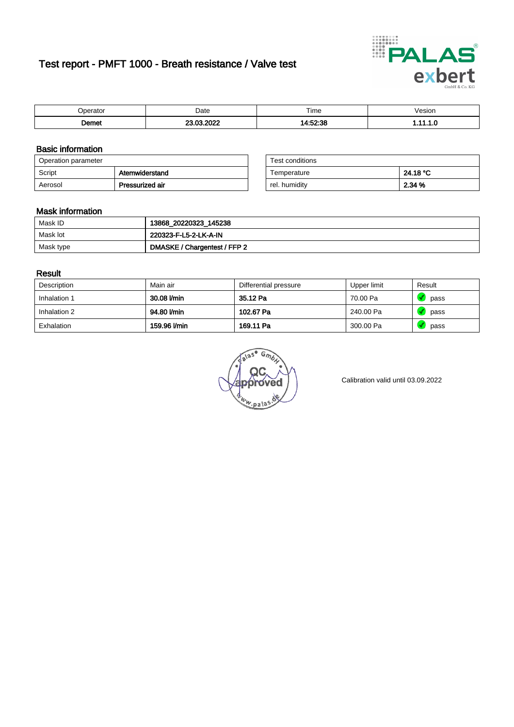# Test report - PMFT 1000 - Breath resistance / Valve test



| maxima               | Date | $- \cdot$<br>Time | /esion<br>. |
|----------------------|------|-------------------|-------------|
| <b>Domot</b><br>יסוו | .    | $-0.0$            | .           |

### Basic information

| Operation parameter |                 | Test conditions |          |
|---------------------|-----------------|-----------------|----------|
| Script              | Atemwiderstand  | Temperature     | 24.18 °C |
| Aerosol             | Pressurized air | rel. humidity   | 2.34 %   |

| Test conditions |          |
|-----------------|----------|
| Temperature     | 24.18 °C |
| rel. humidity   | 2.34 %   |

#### Mask information

| Mask ID   | 13868_20220323_145238        |
|-----------|------------------------------|
| Mask lot  | 220323-F-L5-2-LK-A-IN        |
| Mask type | DMASKE / Chargentest / FFP 2 |

### Result

| Description  | Main air     | Differential pressure | Upper limit | Result |
|--------------|--------------|-----------------------|-------------|--------|
| Inhalation 1 | 30.08 l/min  | 35.12 Pa              | 70.00 Pa    | pass   |
| Inhalation 2 | 94.80 l/min  | 102.67 Pa             | 240.00 Pa   | pass   |
| Exhalation   | 159.96 l/min | 169.11 Pa             | 300.00 Pa   | pass   |

 $u_{\mu,pal}$ 

Calibration valid until 03.09.2022